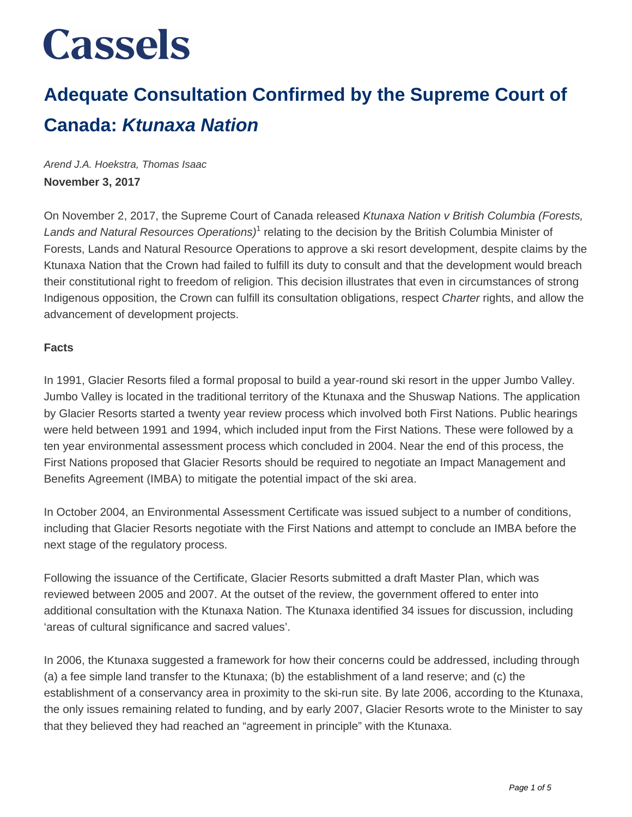### **Adequate Consultation Confirmed by the Supreme Court of Canada: Ktunaxa Nation**

Arend J.A. Hoekstra, Thomas Isaac **November 3, 2017**

On November 2, 2017, the Supreme Court of Canada released Ktunaxa Nation v British Columbia (Forests, Lands and Natural Resources Operations)<sup>1</sup> relating to the decision by the British Columbia Minister of Forests, Lands and Natural Resource Operations to approve a ski resort development, despite claims by the Ktunaxa Nation that the Crown had failed to fulfill its duty to consult and that the development would breach their constitutional right to freedom of religion. This decision illustrates that even in circumstances of strong Indigenous opposition, the Crown can fulfill its consultation obligations, respect Charter rights, and allow the advancement of development projects.

#### **Facts**

In 1991, Glacier Resorts filed a formal proposal to build a year-round ski resort in the upper Jumbo Valley. Jumbo Valley is located in the traditional territory of the Ktunaxa and the Shuswap Nations. The application by Glacier Resorts started a twenty year review process which involved both First Nations. Public hearings were held between 1991 and 1994, which included input from the First Nations. These were followed by a ten year environmental assessment process which concluded in 2004. Near the end of this process, the First Nations proposed that Glacier Resorts should be required to negotiate an Impact Management and Benefits Agreement (IMBA) to mitigate the potential impact of the ski area.

In October 2004, an Environmental Assessment Certificate was issued subject to a number of conditions, including that Glacier Resorts negotiate with the First Nations and attempt to conclude an IMBA before the next stage of the regulatory process.

Following the issuance of the Certificate, Glacier Resorts submitted a draft Master Plan, which was reviewed between 2005 and 2007. At the outset of the review, the government offered to enter into additional consultation with the Ktunaxa Nation. The Ktunaxa identified 34 issues for discussion, including 'areas of cultural significance and sacred values'.

In 2006, the Ktunaxa suggested a framework for how their concerns could be addressed, including through (a) a fee simple land transfer to the Ktunaxa; (b) the establishment of a land reserve; and (c) the establishment of a conservancy area in proximity to the ski-run site. By late 2006, according to the Ktunaxa, the only issues remaining related to funding, and by early 2007, Glacier Resorts wrote to the Minister to say that they believed they had reached an "agreement in principle" with the Ktunaxa.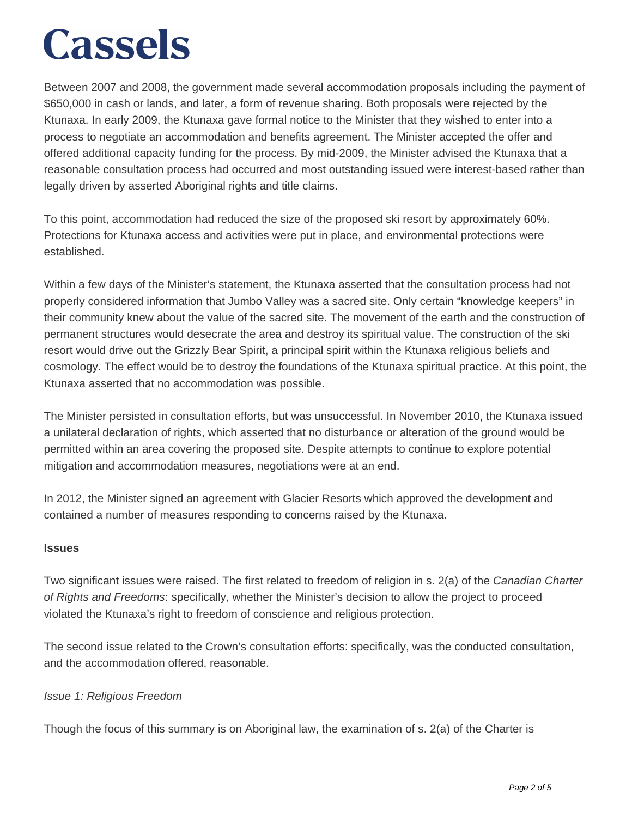Between 2007 and 2008, the government made several accommodation proposals including the payment of \$650,000 in cash or lands, and later, a form of revenue sharing. Both proposals were rejected by the Ktunaxa. In early 2009, the Ktunaxa gave formal notice to the Minister that they wished to enter into a process to negotiate an accommodation and benefits agreement. The Minister accepted the offer and offered additional capacity funding for the process. By mid-2009, the Minister advised the Ktunaxa that a reasonable consultation process had occurred and most outstanding issued were interest-based rather than legally driven by asserted Aboriginal rights and title claims.

To this point, accommodation had reduced the size of the proposed ski resort by approximately 60%. Protections for Ktunaxa access and activities were put in place, and environmental protections were established.

Within a few days of the Minister's statement, the Ktunaxa asserted that the consultation process had not properly considered information that Jumbo Valley was a sacred site. Only certain "knowledge keepers" in their community knew about the value of the sacred site. The movement of the earth and the construction of permanent structures would desecrate the area and destroy its spiritual value. The construction of the ski resort would drive out the Grizzly Bear Spirit, a principal spirit within the Ktunaxa religious beliefs and cosmology. The effect would be to destroy the foundations of the Ktunaxa spiritual practice. At this point, the Ktunaxa asserted that no accommodation was possible.

The Minister persisted in consultation efforts, but was unsuccessful. In November 2010, the Ktunaxa issued a unilateral declaration of rights, which asserted that no disturbance or alteration of the ground would be permitted within an area covering the proposed site. Despite attempts to continue to explore potential mitigation and accommodation measures, negotiations were at an end.

In 2012, the Minister signed an agreement with Glacier Resorts which approved the development and contained a number of measures responding to concerns raised by the Ktunaxa.

#### **Issues**

Two significant issues were raised. The first related to freedom of religion in s. 2(a) of the Canadian Charter of Rights and Freedoms: specifically, whether the Minister's decision to allow the project to proceed violated the Ktunaxa's right to freedom of conscience and religious protection.

The second issue related to the Crown's consultation efforts: specifically, was the conducted consultation, and the accommodation offered, reasonable.

#### Issue 1: Religious Freedom

Though the focus of this summary is on Aboriginal law, the examination of s. 2(a) of the Charter is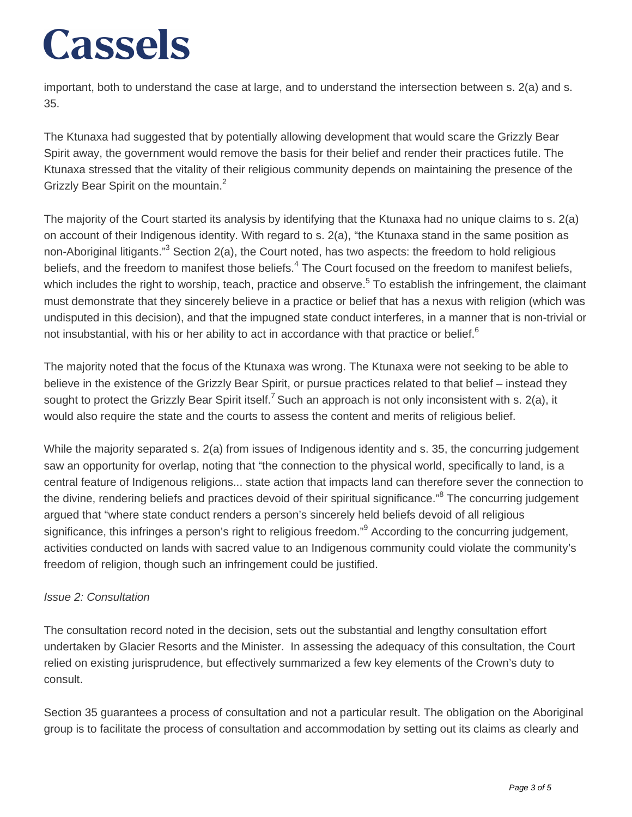important, both to understand the case at large, and to understand the intersection between s. 2(a) and s. 35.

The Ktunaxa had suggested that by potentially allowing development that would scare the Grizzly Bear Spirit away, the government would remove the basis for their belief and render their practices futile. The Ktunaxa stressed that the vitality of their religious community depends on maintaining the presence of the Grizzly Bear Spirit on the mountain.<sup>2</sup>

The majority of the Court started its analysis by identifying that the Ktunaxa had no unique claims to s. 2(a) on account of their Indigenous identity. With regard to s. 2(a), "the Ktunaxa stand in the same position as non-Aboriginal litigants."<sup>3</sup> Section 2(a), the Court noted, has two aspects: the freedom to hold religious beliefs, and the freedom to manifest those beliefs.<sup>4</sup> The Court focused on the freedom to manifest beliefs, which includes the right to worship, teach, practice and observe.<sup>5</sup> To establish the infringement, the claimant must demonstrate that they sincerely believe in a practice or belief that has a nexus with religion (which was undisputed in this decision), and that the impugned state conduct interferes, in a manner that is non-trivial or not insubstantial, with his or her ability to act in accordance with that practice or belief.<sup>6</sup>

The majority noted that the focus of the Ktunaxa was wrong. The Ktunaxa were not seeking to be able to believe in the existence of the Grizzly Bear Spirit, or pursue practices related to that belief – instead they sought to protect the Grizzly Bear Spirit itself.<sup>7</sup> Such an approach is not only inconsistent with s. 2(a), it would also require the state and the courts to assess the content and merits of religious belief.

While the majority separated s. 2(a) from issues of Indigenous identity and s. 35, the concurring judgement saw an opportunity for overlap, noting that "the connection to the physical world, specifically to land, is a central feature of Indigenous religions... state action that impacts land can therefore sever the connection to the divine, rendering beliefs and practices devoid of their spiritual significance."<sup>8</sup> The concurring judgement argued that "where state conduct renders a person's sincerely held beliefs devoid of all religious significance, this infringes a person's right to religious freedom."<sup>9</sup> According to the concurring judgement, activities conducted on lands with sacred value to an Indigenous community could violate the community's freedom of religion, though such an infringement could be justified.

#### Issue 2: Consultation

The consultation record noted in the decision, sets out the substantial and lengthy consultation effort undertaken by Glacier Resorts and the Minister. In assessing the adequacy of this consultation, the Court relied on existing jurisprudence, but effectively summarized a few key elements of the Crown's duty to consult.

Section 35 guarantees a process of consultation and not a particular result. The obligation on the Aboriginal group is to facilitate the process of consultation and accommodation by setting out its claims as clearly and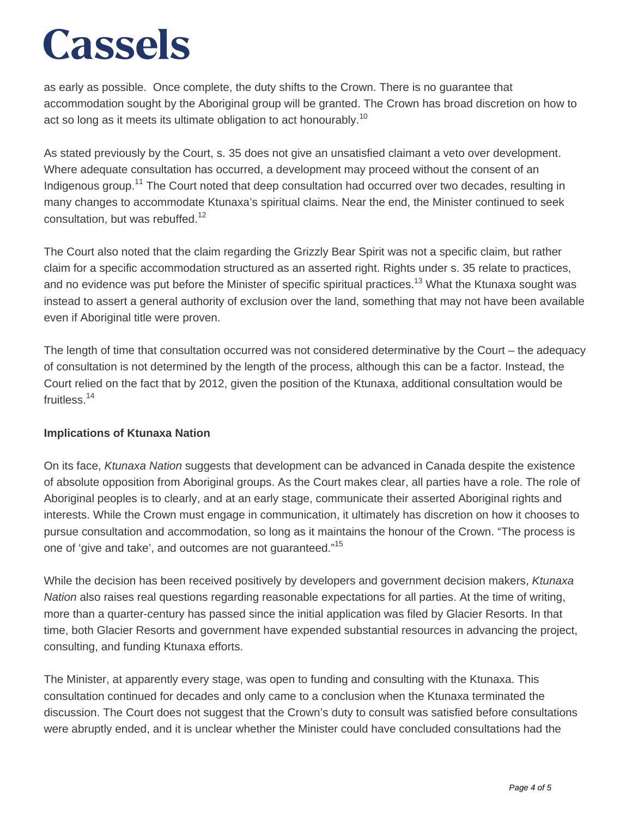as early as possible. Once complete, the duty shifts to the Crown. There is no guarantee that accommodation sought by the Aboriginal group will be granted. The Crown has broad discretion on how to act so long as it meets its ultimate obligation to act honourably.<sup>10</sup>

As stated previously by the Court, s. 35 does not give an unsatisfied claimant a veto over development. Where adequate consultation has occurred, a development may proceed without the consent of an Indigenous group.<sup>11</sup> The Court noted that deep consultation had occurred over two decades, resulting in many changes to accommodate Ktunaxa's spiritual claims. Near the end, the Minister continued to seek consultation, but was rebuffed.<sup>12</sup>

The Court also noted that the claim regarding the Grizzly Bear Spirit was not a specific claim, but rather claim for a specific accommodation structured as an asserted right. Rights under s. 35 relate to practices, and no evidence was put before the Minister of specific spiritual practices.<sup>13</sup> What the Ktunaxa sought was instead to assert a general authority of exclusion over the land, something that may not have been available even if Aboriginal title were proven.

The length of time that consultation occurred was not considered determinative by the Court – the adequacy of consultation is not determined by the length of the process, although this can be a factor. Instead, the Court relied on the fact that by 2012, given the position of the Ktunaxa, additional consultation would be fruitless.<sup>14</sup>

#### **Implications of Ktunaxa Nation**

On its face, Ktunaxa Nation suggests that development can be advanced in Canada despite the existence of absolute opposition from Aboriginal groups. As the Court makes clear, all parties have a role. The role of Aboriginal peoples is to clearly, and at an early stage, communicate their asserted Aboriginal rights and interests. While the Crown must engage in communication, it ultimately has discretion on how it chooses to pursue consultation and accommodation, so long as it maintains the honour of the Crown. "The process is one of 'give and take', and outcomes are not quaranteed."<sup>15</sup>

While the decision has been received positively by developers and government decision makers, Ktunaxa Nation also raises real questions regarding reasonable expectations for all parties. At the time of writing, more than a quarter-century has passed since the initial application was filed by Glacier Resorts. In that time, both Glacier Resorts and government have expended substantial resources in advancing the project, consulting, and funding Ktunaxa efforts.

The Minister, at apparently every stage, was open to funding and consulting with the Ktunaxa. This consultation continued for decades and only came to a conclusion when the Ktunaxa terminated the discussion. The Court does not suggest that the Crown's duty to consult was satisfied before consultations were abruptly ended, and it is unclear whether the Minister could have concluded consultations had the